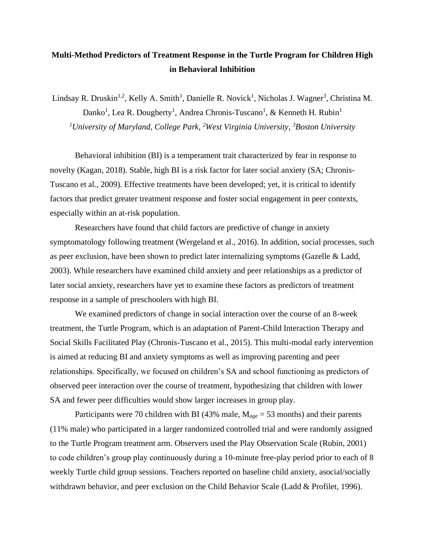## **Multi-Method Predictors of Treatment Response in the Turtle Program for Children High in Behavioral Inhibition**

Lindsay R. Druskin<sup>1,2</sup>, Kelly A. Smith<sup>1</sup>, Danielle R. Novick<sup>1</sup>, Nicholas J. Wagner<sup>3</sup>, Christina M. Danko<sup>1</sup>, Lea R. Dougherty<sup>1</sup>, Andrea Chronis-Tuscano<sup>1</sup>, & Kenneth H. Rubin<sup>1</sup> *<sup>1</sup>University of Maryland, College Park, <sup>2</sup>West Virginia University, <sup>3</sup>Boston University*

Behavioral inhibition (BI) is a temperament trait characterized by fear in response to novelty (Kagan, 2018). Stable, high BI is a risk factor for later social anxiety (SA; Chronis-Tuscano et al., 2009). Effective treatments have been developed; yet, it is critical to identify factors that predict greater treatment response and foster social engagement in peer contexts, especially within an at-risk population.

Researchers have found that child factors are predictive of change in anxiety symptomatology following treatment (Wergeland et al., 2016). In addition, social processes, such as peer exclusion, have been shown to predict later internalizing symptoms (Gazelle & Ladd, 2003). While researchers have examined child anxiety and peer relationships as a predictor of later social anxiety, researchers have yet to examine these factors as predictors of treatment response in a sample of preschoolers with high BI.

We examined predictors of change in social interaction over the course of an 8-week treatment, the Turtle Program, which is an adaptation of Parent-Child Interaction Therapy and Social Skills Facilitated Play (Chronis-Tuscano et al., 2015). This multi-modal early intervention is aimed at reducing BI and anxiety symptoms as well as improving parenting and peer relationships. Specifically, we focused on children's SA and school functioning as predictors of observed peer interaction over the course of treatment, hypothesizing that children with lower SA and fewer peer difficulties would show larger increases in group play.

Participants were 70 children with BI (43% male, M*age* = 53 months) and their parents (11% male) who participated in a larger randomized controlled trial and were randomly assigned to the Turtle Program treatment arm. Observers used the Play Observation Scale (Rubin, 2001) to code children's group play continuously during a 10-minute free-play period prior to each of 8 weekly Turtle child group sessions. Teachers reported on baseline child anxiety, asocial/socially withdrawn behavior, and peer exclusion on the Child Behavior Scale (Ladd & Profilet, 1996).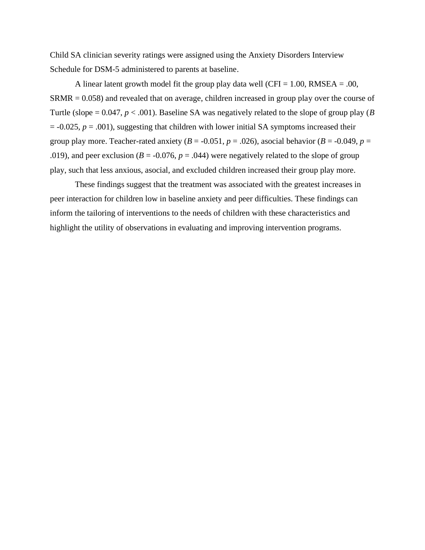Child SA clinician severity ratings were assigned using the Anxiety Disorders Interview Schedule for DSM-5 administered to parents at baseline.

A linear latent growth model fit the group play data well (CFI =  $1.00$ , RMSEA =  $.00$ , SRMR = 0.058) and revealed that on average, children increased in group play over the course of Turtle (slope  $= 0.047$ ,  $p < .001$ ). Baseline SA was negatively related to the slope of group play (*B*)  $= -0.025$ ,  $p = .001$ ), suggesting that children with lower initial SA symptoms increased their group play more. Teacher-rated anxiety ( $B = -0.051$ ,  $p = .026$ ), asocial behavior ( $B = -0.049$ ,  $p =$ .019), and peer exclusion ( $B = -0.076$ ,  $p = .044$ ) were negatively related to the slope of group play, such that less anxious, asocial, and excluded children increased their group play more.

These findings suggest that the treatment was associated with the greatest increases in peer interaction for children low in baseline anxiety and peer difficulties. These findings can inform the tailoring of interventions to the needs of children with these characteristics and highlight the utility of observations in evaluating and improving intervention programs.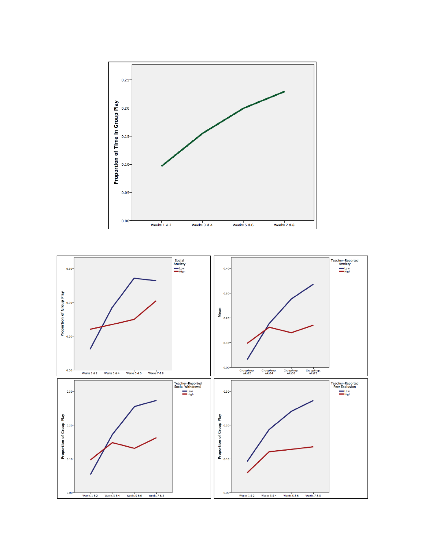